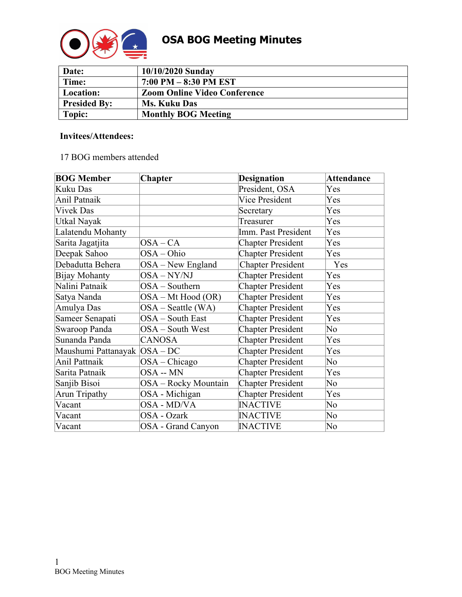

| Date:               | 10/10/2020 Sunday                   |
|---------------------|-------------------------------------|
| Time:               | $7:00$ PM $-8:30$ PM EST            |
| Location:           | <b>Zoom Online Video Conference</b> |
| <b>Presided By:</b> | <b>Ms. Kuku Das</b>                 |
| Topic:              | <b>Monthly BOG Meeting</b>          |

## **Invitees/Attendees:**

# 17 BOG members attended

| <b>BOG Member</b>              | <b>Chapter</b>       | <b>Designation</b>       | <b>Attendance</b> |
|--------------------------------|----------------------|--------------------------|-------------------|
| Kuku Das                       |                      | President, OSA           | Yes               |
| Anil Patnaik                   |                      | <b>Vice President</b>    | Yes               |
| <b>Vivek Das</b>               |                      | Secretary                | Yes               |
| Utkal Nayak                    |                      | Treasurer                | Yes               |
| Lalatendu Mohanty              |                      | Imm. Past President      | Yes               |
| Sarita Jagatjita               | $OSA-CA$             | <b>Chapter President</b> | Yes               |
| Deepak Sahoo                   | OSA-Ohio             | <b>Chapter President</b> | Yes               |
| Debadutta Behera               | $OSA - New England$  | <b>Chapter President</b> | Yes               |
| Bijay Mohanty                  | OSA-NY/NJ            | <b>Chapter President</b> | Yes               |
| Nalini Patnaik                 | OSA - Southern       | <b>Chapter President</b> | Yes               |
| Satya Nanda                    | OSA – Mt Hood (OR)   | <b>Chapter President</b> | Yes               |
| Amulya Das                     | $OSA - Seattle (WA)$ | <b>Chapter President</b> | Yes               |
| Sameer Senapati                | OSA - South East     | <b>Chapter President</b> | Yes               |
| Swaroop Panda                  | OSA - South West     | <b>Chapter President</b> | No                |
| Sunanda Panda                  | CANOSA               | <b>Chapter President</b> | Yes               |
| Maushumi Pattanayak   OSA - DC |                      | <b>Chapter President</b> | Yes               |
| <b>Anil Pattnaik</b>           | $OSA - Chicago$      | <b>Chapter President</b> | No                |
| Sarita Patnaik                 | OSA -- MN            | <b>Chapter President</b> | Yes               |
| Sanjib Bisoi                   | OSA – Rocky Mountain | <b>Chapter President</b> | No                |
| Arun Tripathy                  | OSA - Michigan       | <b>Chapter President</b> | Yes               |
| Vacant                         | OSA - MD/VA          | <b>INACTIVE</b>          | No                |
| Vacant                         | OSA - Ozark          | <b>INACTIVE</b>          | No                |
| Vacant                         | OSA - Grand Canyon   | <b>INACTIVE</b>          | No                |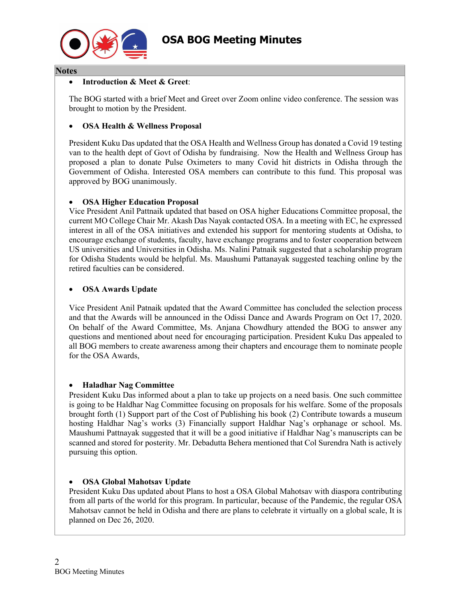

#### **Notes**

## • **Introduction & Meet & Greet**:

The BOG started with a brief Meet and Greet over Zoom online video conference. The session was brought to motion by the President.

## • **OSA Health & Wellness Proposal**

President Kuku Das updated that the OSA Health and Wellness Group has donated a Covid 19 testing van to the health dept of Govt of Odisha by fundraising. Now the Health and Wellness Group has proposed a plan to donate Pulse Oximeters to many Covid hit districts in Odisha through the Government of Odisha. Interested OSA members can contribute to this fund. This proposal was approved by BOG unanimously.

## • **OSA Higher Education Proposal**

Vice President Anil Pattnaik updated that based on OSA higher Educations Committee proposal, the current MO College Chair Mr. Akash Das Nayak contacted OSA. In a meeting with EC, he expressed interest in all of the OSA initiatives and extended his support for mentoring students at Odisha, to encourage exchange of students, faculty, have exchange programs and to foster cooperation between US universities and Universities in Odisha. Ms. Nalini Patnaik suggested that a scholarship program for Odisha Students would be helpful. Ms. Maushumi Pattanayak suggested teaching online by the retired faculties can be considered.

## • **OSA Awards Update**

Vice President Anil Patnaik updated that the Award Committee has concluded the selection process and that the Awards will be announced in the Odissi Dance and Awards Program on Oct 17, 2020. On behalf of the Award Committee, Ms. Anjana Chowdhury attended the BOG to answer any questions and mentioned about need for encouraging participation. President Kuku Das appealed to all BOG members to create awareness among their chapters and encourage them to nominate people for the OSA Awards,

#### • **Haladhar Nag Committee**

President Kuku Das informed about a plan to take up projects on a need basis. One such committee is going to be Haldhar Nag Committee focusing on proposals for his welfare. Some of the proposals brought forth (1) Support part of the Cost of Publishing his book (2) Contribute towards a museum hosting Haldhar Nag's works (3) Financially support Haldhar Nag's orphanage or school. Ms. Maushumi Pattnayak suggested that it will be a good initiative if Haldhar Nag's manuscripts can be scanned and stored for posterity. Mr. Debadutta Behera mentioned that Col Surendra Nath is actively pursuing this option.

# • **OSA Global Mahotsav Update**

President Kuku Das updated about Plans to host a OSA Global Mahotsav with diaspora contributing from all parts of the world for this program. In particular, because of the Pandemic, the regular OSA Mahotsav cannot be held in Odisha and there are plans to celebrate it virtually on a global scale, It is planned on Dec 26, 2020.